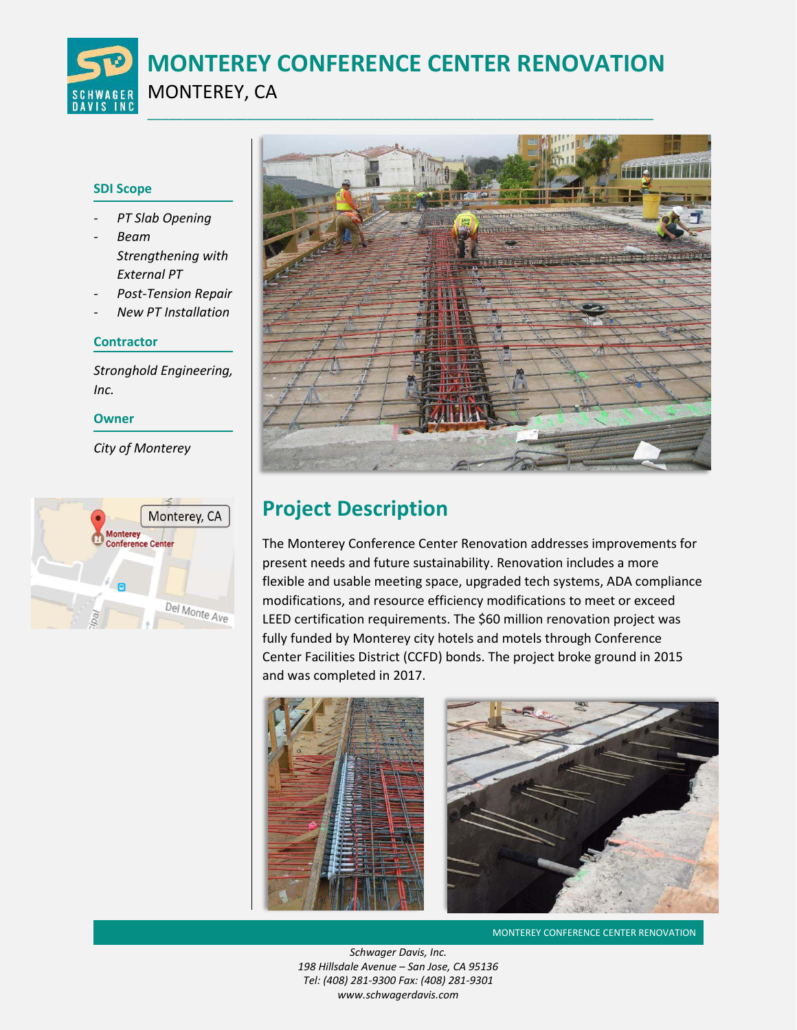**MONTEREY CONFERENCE CENTER RENOVATION**

# MONTEREY, CA

### **SDI Scope**

- *- PT Slab Opening*
- *- Beam Strengthening with External PT*
- *- Post-Tension Repair*
- *- New PT Installation*

### **Contractor**

*Stronghold Engineering, Inc.* 

#### **Owner**

*City of Monterey* 





# **Project Description**

The Monterey Conference Center Renovation addresses improvements for present needs and future sustainability. Renovation includes a more flexible and usable meeting space, upgraded tech systems, ADA compliance modifications, and resource efficiency modifications to meet or exceed LEED certification requirements. The \$60 million renovation project was fully funded by Monterey city hotels and motels through Conference Center Facilities District (CCFD) bonds. The project broke ground in 2015 and was completed in 2017.



**MONTEREY CONFERENCE CENTER RENOVATION** 

*Schwager Davis, Inc. 198 Hillsdale Avenue – San Jose, CA 95136 Tel: (408) 281-9300 Fax: (408) 281-9301 www.schwagerdavis.com*